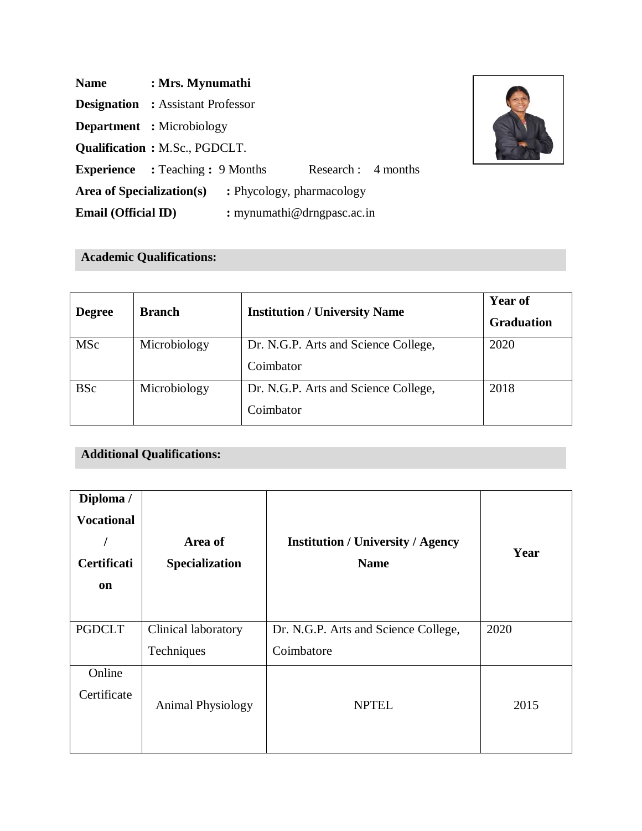| <b>Name</b>                | : Mrs. Mynumathi                                               |  |  |
|----------------------------|----------------------------------------------------------------|--|--|
|                            | <b>Designation</b> : Assistant Professor                       |  |  |
|                            | <b>Department</b> : Microbiology                               |  |  |
|                            | <b>Qualification: M.Sc., PGDCLT.</b>                           |  |  |
|                            | <b>Experience</b> : Teaching : 9 Months<br>Research : 4 months |  |  |
| Area of Specialization(s)  | : Phycology, pharmacology                                      |  |  |
| <b>Email (Official ID)</b> | : mynumathi@drngpasc.ac.in                                     |  |  |

# **Academic Qualifications:**

| <b>Degree</b> | <b>Branch</b> | <b>Institution / University Name</b> | <b>Year of</b>    |
|---------------|---------------|--------------------------------------|-------------------|
|               |               |                                      | <b>Graduation</b> |
| <b>MSc</b>    | Microbiology  | Dr. N.G.P. Arts and Science College, | 2020              |
|               |               | Coimbator                            |                   |
| <b>BSc</b>    | Microbiology  | Dr. N.G.P. Arts and Science College, | 2018              |
|               |               | Coimbator                            |                   |

## **Additional Qualifications:**

| Diploma /<br><b>Vocational</b><br>Certificati<br>on | Area of<br>Specialization         | <b>Institution / University / Agency</b><br><b>Name</b> | Year |
|-----------------------------------------------------|-----------------------------------|---------------------------------------------------------|------|
| <b>PGDCLT</b>                                       | Clinical laboratory<br>Techniques | Dr. N.G.P. Arts and Science College,<br>Coimbatore      | 2020 |
| Online<br>Certificate                               | <b>Animal Physiology</b>          | <b>NPTEL</b>                                            | 2015 |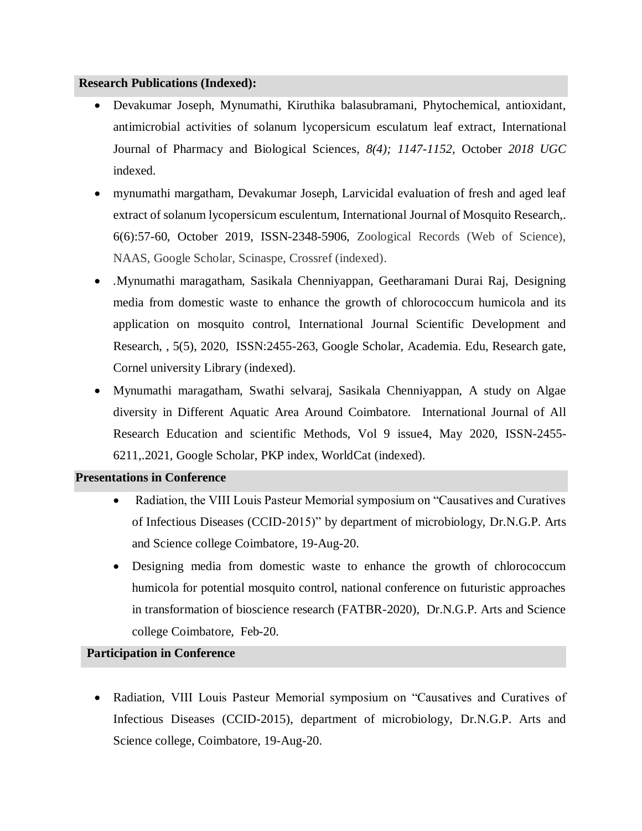#### **Research Publications (Indexed):**

- Devakumar Joseph, Mynumathi, Kiruthika balasubramani*,* Phytochemical, antioxidant, antimicrobial activities of solanum lycopersicum esculatum leaf extract, International Journal of Pharmacy and Biological Sciences*, 8(4); 1147-1152,* October *2018 UGC*  indexed.
- mynumathi margatham, Devakumar Joseph, Larvicidal evaluation of fresh and aged leaf extract of solanum lycopersicum esculentum, International Journal of Mosquito Research,. 6(6):57-60, October 2019, ISSN-2348-5906, Zoological Records (Web of Science), NAAS, Google Scholar, Scinaspe, Crossref (indexed).
- *.*Mynumathi maragatham, Sasikala Chenniyappan, Geetharamani Durai Raj, Designing media from domestic waste to enhance the growth of chlorococcum humicola and its application on mosquito control, International Journal Scientific Development and Research, , 5(5), 2020, ISSN:2455-263, Google Scholar, Academia. Edu, Research gate, Cornel university Library (indexed).
- Mynumathi maragatham, Swathi selvaraj, Sasikala Chenniyappan, A study on Algae diversity in Different Aquatic Area Around Coimbatore. International Journal of All Research Education and scientific Methods, Vol 9 issue4, May 2020, ISSN-2455- 6211,.2021, Google Scholar, PKP index, WorldCat (indexed).

#### **Presentations in Conference**

- Radiation, the VIII Louis Pasteur Memorial symposium on "Causatives and Curatives of Infectious Diseases (CCID-2015)" by department of microbiology, Dr.N.G.P. Arts and Science college Coimbatore, 19-Aug-20.
- Designing media from domestic waste to enhance the growth of chlorococcum humicola for potential mosquito control, national conference on futuristic approaches in transformation of bioscience research (FATBR-2020), Dr.N.G.P. Arts and Science college Coimbatore, Feb-20.

#### **Participation in Conference**

 Radiation, VIII Louis Pasteur Memorial symposium on "Causatives and Curatives of Infectious Diseases (CCID-2015), department of microbiology, Dr.N.G.P. Arts and Science college, Coimbatore, 19-Aug-20.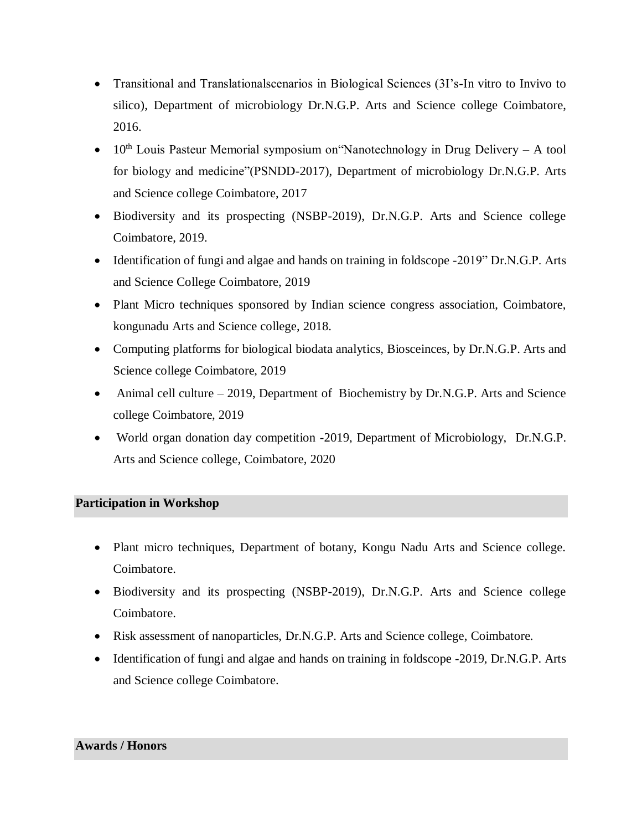- Transitional and Translationalscenarios in Biological Sciences (3I's-In vitro to Invivo to silico), Department of microbiology Dr.N.G.P. Arts and Science college Coimbatore, 2016.
- $\bullet$  10<sup>th</sup> Louis Pasteur Memorial symposium on 'Nanotechnology in Drug Delivery A tool for biology and medicine"(PSNDD-2017), Department of microbiology Dr.N.G.P. Arts and Science college Coimbatore, 2017
- Biodiversity and its prospecting (NSBP-2019), Dr.N.G.P. Arts and Science college Coimbatore, 2019.
- Identification of fungi and algae and hands on training in foldscope -2019" Dr.N.G.P. Arts and Science College Coimbatore, 2019
- Plant Micro techniques sponsored by Indian science congress association, Coimbatore, kongunadu Arts and Science college, 2018.
- Computing platforms for biological biodata analytics, Biosceinces, by Dr.N.G.P. Arts and Science college Coimbatore, 2019
- Animal cell culture 2019, Department of Biochemistry by Dr.N.G.P. Arts and Science college Coimbatore, 2019
- World organ donation day competition -2019, Department of Microbiology, Dr.N.G.P. Arts and Science college, Coimbatore, 2020

### **Participation in Workshop**

- Plant micro techniques, Department of botany, Kongu Nadu Arts and Science college. Coimbatore.
- Biodiversity and its prospecting (NSBP-2019), Dr.N.G.P. Arts and Science college Coimbatore.
- Risk assessment of nanoparticles, Dr.N.G.P. Arts and Science college, Coimbatore.
- Identification of fungi and algae and hands on training in foldscope -2019, Dr.N.G.P. Arts and Science college Coimbatore.

#### **Awards / Honors**